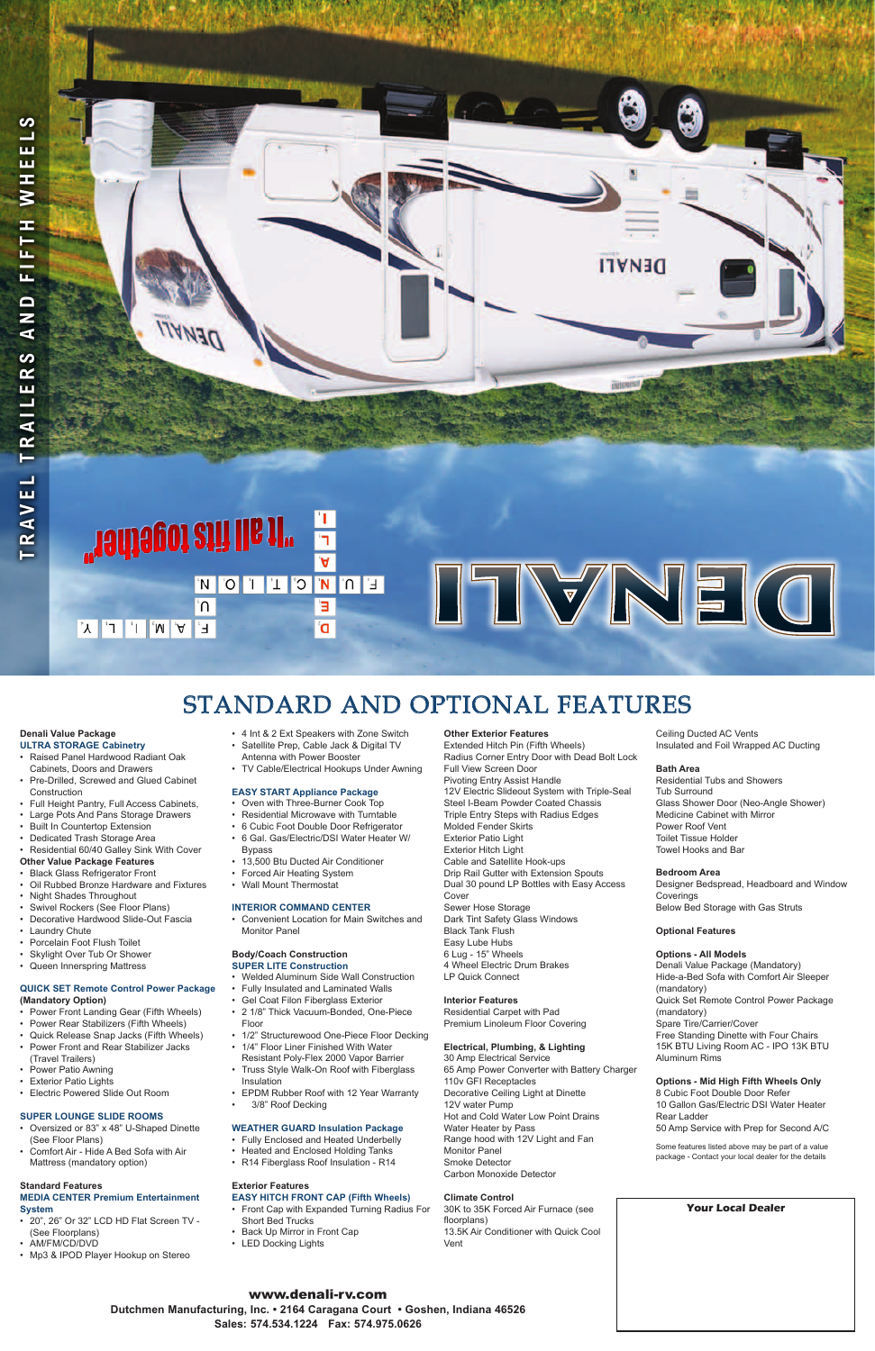# **DENALI**

## "Tadiagoi ziñ lla 11" 'n э F, Ó

# ITVNE (O

### **Denali Value Package ULTRA STORAGE Cabinetry**

- Raised Panel Hardwood Radiant Oak
- Cabinets, Doors and Drawers Pre-Drilled, Screwed and Glued Cabinet **Construction**
- • Full Height Pantry, Full Access Cabinets,
- **Large Pots And Pans Storage Drawers**
- **Built In Countertop Extension**
- **Dedicated Trash Storage Area**
- Residential 60/40 Galley Sink With Cover
- **Other Value Package Features**
- **Black Glass Refrigerator Front**
- **Oil Rubbed Bronze Hardware and Fixtures**
- **Night Shades Throughout**
- Swivel Rockers (See Floor Plans)
- Decorative Hardwood Slide-Out Fascia
- **Laundry Chute**
- Porcelain Foot Flush Toilet
- Skylight Over Tub Or Shower
- Queen Innerspring Mattress
- **QUICK SET Remote Control Power Package**

- Power Front Landing Gear (Fifth Wheels)
- • Power Rear Stabilizers (Fifth Wheels)
- • Quick Release Snap Jacks (Fifth Wheels)
- • Power Front and Rear Stabilizer Jacks (Travel Trailers)
- • Power Patio Awning
- Exterior Patio Lights
- • Electric Powered Slide Out Room

- • 20", 26" Or 32" LCD HD Flat Screen TV (See Floorplans)
- • AM/FM/CD/DVD
- Mp3 & IPOD Player Hookup on Stereo

- • 4 Int & 2 Ext Speakers with Zone Switch
- Satellite Prep, Cable Jack & Digital TV Antenna with Power Booster
- TV Cable/Electrical Hookups Under Awning

### **(Mandatory Option)**

- • Welded Aluminum Side Wall Construction
	- Fully Insulated and Laminated Walls

- • Gel Coat Filon Fiberglass Exterior
- • 2 1/8" Thick Vacuum-Bonded, One-Piece Floor
- 1/2" Structurewood One-Piece Floor Decking
- • 1/4" Floor Liner Finished With Water Resistant Poly-Flex 2000 Vapor Barrier
- Truss Style Walk-On Roof with Fiberglass Insulation
- • EPDM Rubber Roof with 12 Year Warranty
- 3/8" Roof Decking

### **SUPER LOUNGE SLIDE ROOMS**

- • Oversized or 83" x 48" U-Shaped Dinette (See Floor Plans)
- Comfort Air Hide A Bed Sofa with Air Mattress (mandatory option)

### **Standard Features MEDIA CENTER Premium Entertainment System**

- • Front Cap with Expanded Turning Radius For Short Bed Trucks
- • Back Up Mirror in Front Cap
- LED Docking Lights

### **EASY START Appliance Package**

- • Oven with Three-Burner Cook Top
- • Residential Microwave with Turntable
- • 6 Cubic Foot Double Door Refrigerator
- • 6 Gal. Gas/Electric/DSI Water Heater W/ Bypass
- 13,500 Btu Ducted Air Conditioner
- • Forced Air Heating System
- • Wall Mount Thermostat

### **INTERIOR COMMAND CENTER**

• Convenient Location for Main Switches and Monitor Panel

### **Body/Coach Construction SUPER LITE Construction**

### **WEATHER GUARD Insulation Package**

- • Fully Enclosed and Heated Underbelly
- Heated and Enclosed Holding Tanks
- • R14 Fiberglass Roof Insulation R14

### **Exterior Features EASY HITCH FRONT CAP (Fifth Wheels)**

**Other Exterior Features**

Extended Hitch Pin (Fifth Wheels) Radius Corner Entry Door with Dead Bolt Lock Full View Screen Door Pivoting Entry Assist Handle 12V Electric Slideout System with Triple-Seal Steel I-Beam Powder Coated Chassis Triple Entry Steps with Radius Edges Molded Fender Skirts Exterior Patio Light Exterior Hitch Light Cable and Satellite Hook-ups Drip Rail Gutter with Extension Spouts Dual 30 pound LP Bottles with Easy Access Cover Sewer Hose Storage Dark Tint Safety Glass Windows Black Tank Flush Easy Lube Hubs 6 Lug - 15" Wheels 4 Wheel Electric Drum Brakes LP Quick Connect

### **Interior Features**

Residential Carpet with Pad Premium Linoleum Floor Covering

### **Electrical, Plumbing, & Lighting**

30 Amp Electrical Service 65 Amp Power Converter with Battery Charger 110v GFI Receptacles Decorative Ceiling Light at Dinette 12V water Pump Hot and Cold Water Low Point Drains Water Heater by Pass Range hood with 12V Light and Fan Monitor Panel Smoke Detector Carbon Monoxide Detector

### **Climate Control**

30K to 35K Forced Air Furnace (see floorplans) 13.5K Air Conditioner with Quick Cool Vent

Ceiling Ducted AC Vents Insulated and Foil Wrapped AC Ducting

### **Bath Area**

Residential Tubs and Showers Tub Surround Glass Shower Door (Neo-Angle Shower) Medicine Cabinet with Mirror Power Roof Vent Toilet Tissue Holder Towel Hooks and Bar

### **Bedroom Area**

Designer Bedspread, Headboard and Window Coverings Below Bed Storage with Gas Struts

### **Optional Features**

### **Options - All Models**

Denali Value Package (Mandatory) Hide-a-Bed Sofa with Comfort Air Sleeper (mandatory)

### Quick Set Remote Control Power Package (mandatory) Spare Tire/Carrier/Cover Free Standing Dinette with Four Chairs 15K BTU Living Room AC - IPO 13K BTU Aluminum Rims

### **Options - Mid High Fifth Wheels Only**

8 Cubic Foot Double Door Refer 10 Gallon Gas/Electric DSI Water Heater Rear Ladder

50 Amp Service with Prep for Second A/C

Some features listed above may be part of a value package - Contact your local dealer for the details

# Standard and Optional Features

### www.denali-rv.com

**Dutchmen Manufacturing, Inc. • 2164 Caragana Court • Goshen, Indiana 46526 Sales: 574.534.1224 Fax: 574.975.0626**

### **Your Local Dealer**